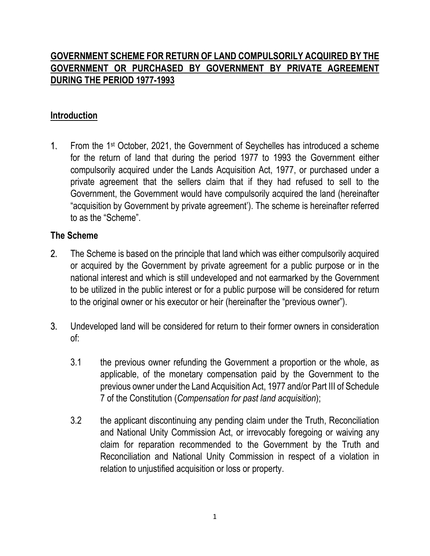## **GOVERNMENT SCHEME FOR RETURN OF LAND COMPULSORILY ACQUIRED BY THE GOVERNMENT OR PURCHASED BY GOVERNMENT BY PRIVATE AGREEMENT DURING THE PERIOD 1977-1993**

## **Introduction**

1. From the 1st October, 2021, the Government of Seychelles has introduced a scheme for the return of land that during the period 1977 to 1993 the Government either compulsorily acquired under the Lands Acquisition Act, 1977, or purchased under a private agreement that the sellers claim that if they had refused to sell to the Government, the Government would have compulsorily acquired the land (hereinafter "acquisition by Government by private agreement'). The scheme is hereinafter referred to as the "Scheme".

## **The Scheme**

- 2. The Scheme is based on the principle that land which was either compulsorily acquired or acquired by the Government by private agreement for a public purpose or in the national interest and which is still undeveloped and not earmarked by the Government to be utilized in the public interest or for a public purpose will be considered for return to the original owner or his executor or heir (hereinafter the "previous owner").
- 3. Undeveloped land will be considered for return to their former owners in consideration of:
	- 3.1 the previous owner refunding the Government a proportion or the whole, as applicable, of the monetary compensation paid by the Government to the previous owner under the Land Acquisition Act, 1977 and/or Part III of Schedule 7 of the Constitution (*Compensation for past land acquisition*);
	- 3.2 the applicant discontinuing any pending claim under the Truth, Reconciliation and National Unity Commission Act, or irrevocably foregoing or waiving any claim for reparation recommended to the Government by the Truth and Reconciliation and National Unity Commission in respect of a violation in relation to unjustified acquisition or loss or property.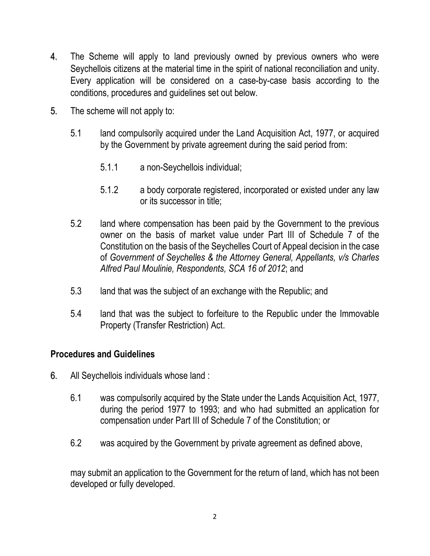- 4. The Scheme will apply to land previously owned by previous owners who were Seychellois citizens at the material time in the spirit of national reconciliation and unity. Every application will be considered on a case-by-case basis according to the conditions, procedures and guidelines set out below.
- 5. The scheme will not apply to:
	- 5.1 land compulsorily acquired under the Land Acquisition Act, 1977, or acquired by the Government by private agreement during the said period from:
		- 5.1.1 a non-Seychellois individual;
		- 5.1.2 a body corporate registered, incorporated or existed under any law or its successor in title;
	- 5.2 land where compensation has been paid by the Government to the previous owner on the basis of market value under Part III of Schedule 7 of the Constitution on the basis of the Seychelles Court of Appeal decision in the case of *Government of Seychelles & the Attorney General, Appellants, v/s Charles Alfred Paul Moulinie, Respondents, SCA 16 of 2012*; and
	- 5.3 land that was the subject of an exchange with the Republic; and
	- 5.4 land that was the subject to forfeiture to the Republic under the Immovable Property (Transfer Restriction) Act.

## **Procedures and Guidelines**

- 6. All Seychellois individuals whose land :
	- 6.1 was compulsorily acquired by the State under the Lands Acquisition Act, 1977, during the period 1977 to 1993; and who had submitted an application for compensation under Part III of Schedule 7 of the Constitution; or
	- 6.2 was acquired by the Government by private agreement as defined above,

may submit an application to the Government for the return of land, which has not been developed or fully developed.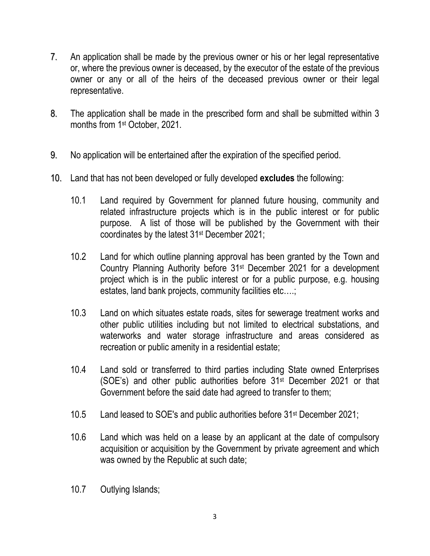- 7. An application shall be made by the previous owner or his or her legal representative or, where the previous owner is deceased, by the executor of the estate of the previous owner or any or all of the heirs of the deceased previous owner or their legal representative.
- 8. The application shall be made in the prescribed form and shall be submitted within 3 months from 1<sup>st</sup> October, 2021.
- 9. No application will be entertained after the expiration of the specified period.
- 10. Land that has not been developed or fully developed **excludes** the following:
	- 10.1 Land required by Government for planned future housing, community and related infrastructure projects which is in the public interest or for public purpose. A list of those will be published by the Government with their coordinates by the latest 31st December 2021;
	- 10.2 Land for which outline planning approval has been granted by the Town and Country Planning Authority before 31st December 2021 for a development project which is in the public interest or for a public purpose, e.g. housing estates, land bank projects, community facilities etc….;
	- 10.3 Land on which situates estate roads, sites for sewerage treatment works and other public utilities including but not limited to electrical substations, and waterworks and water storage infrastructure and areas considered as recreation or public amenity in a residential estate;
	- 10.4 Land sold or transferred to third parties including State owned Enterprises (SOE's) and other public authorities before 31st December 2021 or that Government before the said date had agreed to transfer to them;
	- 10.5 Land leased to SOE's and public authorities before 31st December 2021;
	- 10.6 Land which was held on a lease by an applicant at the date of compulsory acquisition or acquisition by the Government by private agreement and which was owned by the Republic at such date;
	- 10.7 Outlying Islands;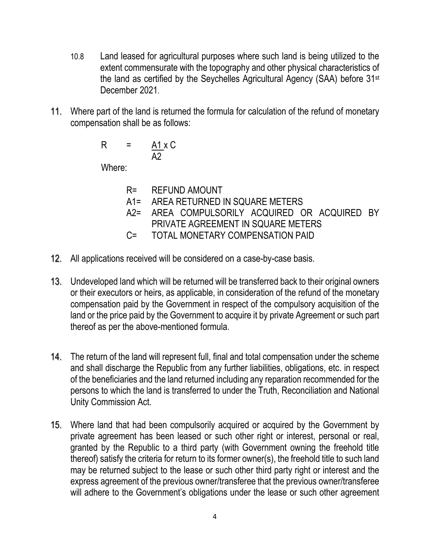- 10.8 Land leased for agricultural purposes where such land is being utilized to the extent commensurate with the topography and other physical characteristics of the land as certified by the Seychelles Agricultural Agency (SAA) before 31st December 2021.
- 11. Where part of the land is returned the formula for calculation of the refund of monetary compensation shall be as follows:

$$
R = \frac{A1 \times C}{A2}
$$

Where:

| $R =$ | <b>REFUND AMOUNT</b> |
|-------|----------------------|
|       |                      |

- A1= AREA RETURNED IN SQUARE METERS
- A2= AREA COMPULSORILY ACQUIRED OR ACQUIRED BY PRIVATE AGREEMENT IN SQUARE METERS
- C= TOTAL MONETARY COMPENSATION PAID
- 12. All applications received will be considered on a case-by-case basis.
- 13. Undeveloped land which will be returned will be transferred back to their original owners or their executors or heirs, as applicable, in consideration of the refund of the monetary compensation paid by the Government in respect of the compulsory acquisition of the land or the price paid by the Government to acquire it by private Agreement or such part thereof as per the above-mentioned formula.
- 14. The return of the land will represent full, final and total compensation under the scheme and shall discharge the Republic from any further liabilities, obligations, etc. in respect of the beneficiaries and the land returned including any reparation recommended for the persons to which the land is transferred to under the Truth, Reconciliation and National Unity Commission Act.
- 15. Where land that had been compulsorily acquired or acquired by the Government by private agreement has been leased or such other right or interest, personal or real, granted by the Republic to a third party (with Government owning the freehold title thereof) satisfy the criteria for return to its former owner(s), the freehold title to such land may be returned subject to the lease or such other third party right or interest and the express agreement of the previous owner/transferee that the previous owner/transferee will adhere to the Government's obligations under the lease or such other agreement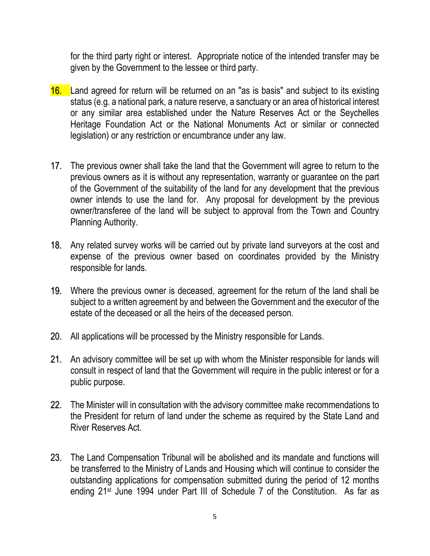for the third party right or interest. Appropriate notice of the intended transfer may be given by the Government to the lessee or third party.

- 16. Land agreed for return will be returned on an "as is basis" and subject to its existing status (e.g. a national park, a nature reserve, a sanctuary or an area of historical interest or any similar area established under the Nature Reserves Act or the Seychelles Heritage Foundation Act or the National Monuments Act or similar or connected legislation) or any restriction or encumbrance under any law.
- 17. The previous owner shall take the land that the Government will agree to return to the previous owners as it is without any representation, warranty or guarantee on the part of the Government of the suitability of the land for any development that the previous owner intends to use the land for. Any proposal for development by the previous owner/transferee of the land will be subject to approval from the Town and Country Planning Authority.
- 18. Any related survey works will be carried out by private land surveyors at the cost and expense of the previous owner based on coordinates provided by the Ministry responsible for lands.
- 19. Where the previous owner is deceased, agreement for the return of the land shall be subject to a written agreement by and between the Government and the executor of the estate of the deceased or all the heirs of the deceased person.
- 20. All applications will be processed by the Ministry responsible for Lands.
- 21. An advisory committee will be set up with whom the Minister responsible for lands will consult in respect of land that the Government will require in the public interest or for a public purpose.
- 22. The Minister will in consultation with the advisory committee make recommendations to the President for return of land under the scheme as required by the State Land and River Reserves Act.
- 23. The Land Compensation Tribunal will be abolished and its mandate and functions will be transferred to the Ministry of Lands and Housing which will continue to consider the outstanding applications for compensation submitted during the period of 12 months ending 21st June 1994 under Part III of Schedule 7 of the Constitution. As far as